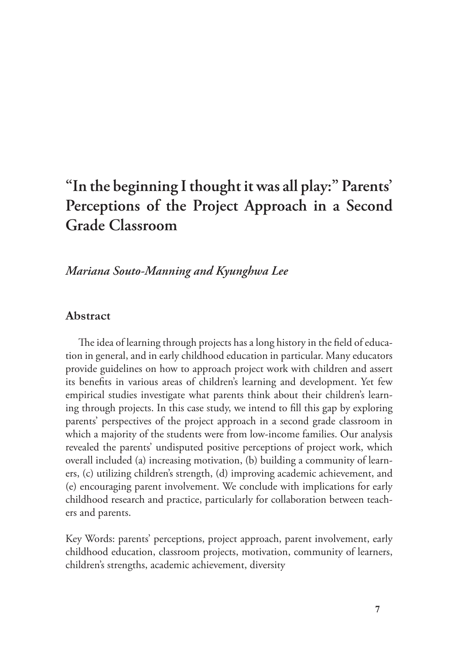# **"In the beginning I thought it was all play:" Parents' Perceptions of the Project Approach in a Second Grade Classroom**

*Mariana Souto-Manning and Kyunghwa Lee*

# **Abstract**

The idea of learning through projects has a long history in the field of education in general, and in early childhood education in particular. Many educators provide guidelines on how to approach project work with children and assert its benefits in various areas of children's learning and development. Yet few empirical studies investigate what parents think about their children's learning through projects. In this case study, we intend to fill this gap by exploring parents' perspectives of the project approach in a second grade classroom in which a majority of the students were from low-income families. Our analysis revealed the parents' undisputed positive perceptions of project work, which overall included (a) increasing motivation, (b) building a community of learners, (c) utilizing children's strength, (d) improving academic achievement, and (e) encouraging parent involvement. We conclude with implications for early childhood research and practice, particularly for collaboration between teachers and parents.

Key Words: parents' perceptions, project approach, parent involvement, early childhood education, classroom projects, motivation, community of learners, children's strengths, academic achievement, diversity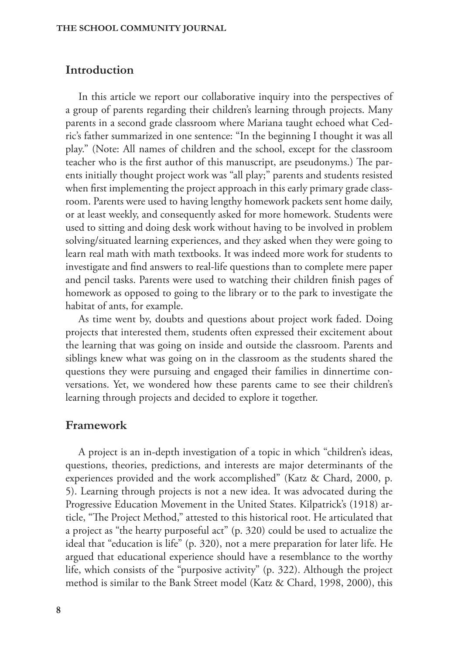# **Introduction**

In this article we report our collaborative inquiry into the perspectives of a group of parents regarding their children's learning through projects. Many parents in a second grade classroom where Mariana taught echoed what Cedric's father summarized in one sentence: "In the beginning I thought it was all play." (Note: All names of children and the school, except for the classroom teacher who is the first author of this manuscript, are pseudonyms.) The parents initially thought project work was "all play;" parents and students resisted when first implementing the project approach in this early primary grade classroom. Parents were used to having lengthy homework packets sent home daily, or at least weekly, and consequently asked for more homework. Students were used to sitting and doing desk work without having to be involved in problem solving/situated learning experiences, and they asked when they were going to learn real math with math textbooks. It was indeed more work for students to investigate and find answers to real-life questions than to complete mere paper and pencil tasks. Parents were used to watching their children finish pages of homework as opposed to going to the library or to the park to investigate the habitat of ants, for example.

As time went by, doubts and questions about project work faded. Doing projects that interested them, students often expressed their excitement about the learning that was going on inside and outside the classroom. Parents and siblings knew what was going on in the classroom as the students shared the questions they were pursuing and engaged their families in dinnertime conversations. Yet, we wondered how these parents came to see their children's learning through projects and decided to explore it together.

#### **Framework**

A project is an in-depth investigation of a topic in which "children's ideas, questions, theories, predictions, and interests are major determinants of the experiences provided and the work accomplished" (Katz & Chard, 2000, p. 5). Learning through projects is not a new idea. It was advocated during the Progressive Education Movement in the United States. Kilpatrick's (1918) article, "The Project Method," attested to this historical root. He articulated that a project as "the hearty purposeful act" (p. 320) could be used to actualize the ideal that "education is life" (p. 320), not a mere preparation for later life. He argued that educational experience should have a resemblance to the worthy life, which consists of the "purposive activity" (p. 322). Although the project method is similar to the Bank Street model (Katz & Chard, 1998, 2000), this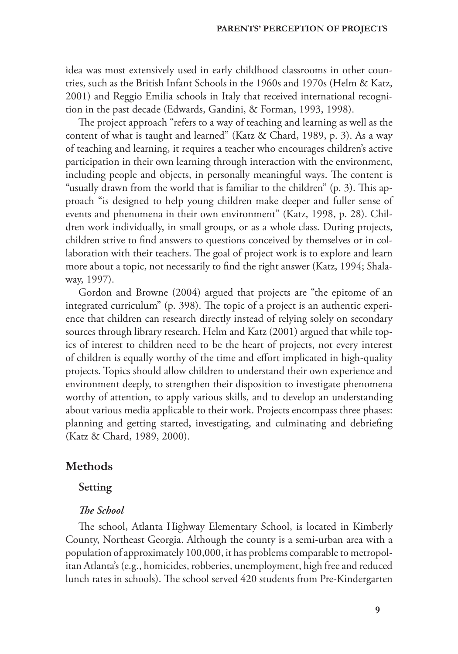idea was most extensively used in early childhood classrooms in other countries, such as the British Infant Schools in the 1960s and 1970s (Helm & Katz, 2001) and Reggio Emilia schools in Italy that received international recognition in the past decade (Edwards, Gandini, & Forman, 1993, 1998).

The project approach "refers to a way of teaching and learning as well as the content of what is taught and learned" (Katz & Chard, 1989, p. 3). As a way of teaching and learning, it requires a teacher who encourages children's active participation in their own learning through interaction with the environment, including people and objects, in personally meaningful ways. The content is "usually drawn from the world that is familiar to the children"  $(p. 3)$ . This approach "is designed to help young children make deeper and fuller sense of events and phenomena in their own environment" (Katz, 1998, p. 28). Children work individually, in small groups, or as a whole class. During projects, children strive to find answers to questions conceived by themselves or in collaboration with their teachers. The goal of project work is to explore and learn more about a topic, not necessarily to find the right answer (Katz, 1994; Shalaway, 1997).

Gordon and Browne (2004) argued that projects are "the epitome of an integrated curriculum" (p. 398). The topic of a project is an authentic experience that children can research directly instead of relying solely on secondary sources through library research. Helm and Katz (2001) argued that while topics of interest to children need to be the heart of projects, not every interest of children is equally worthy of the time and effort implicated in high-quality projects. Topics should allow children to understand their own experience and environment deeply, to strengthen their disposition to investigate phenomena worthy of attention, to apply various skills, and to develop an understanding about various media applicable to their work. Projects encompass three phases: planning and getting started, investigating, and culminating and debriefing (Katz & Chard, 1989, 2000).

## **Methods**

## **Setting**

#### **The School**

The school, Atlanta Highway Elementary School, is located in Kimberly County, Northeast Georgia. Although the county is a semi-urban area with a population of approximately 100,000, it has problems comparable to metropolitan Atlanta's (e.g., homicides, robberies, unemployment, high free and reduced lunch rates in schools). The school served 420 students from Pre-Kindergarten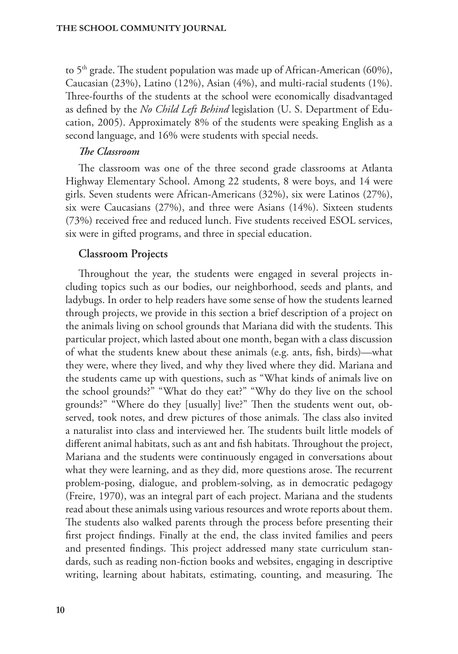to  $5<sup>th</sup>$  grade. The student population was made up of African-American (60%), Caucasian (23%), Latino (12%), Asian (4%), and multi-racial students (1%). Three-fourths of the students at the school were economically disadvantaged as defined by the *No Child Left Behind* legislation (U. S. Department of Education, 2005). Approximately 8% of the students were speaking English as a second language, and 16% were students with special needs.

#### *The Classroom*

The classroom was one of the three second grade classrooms at Atlanta Highway Elementary School. Among 22 students, 8 were boys, and 14 were girls. Seven students were African-Americans (32%), six were Latinos (27%), six were Caucasians (27%), and three were Asians (14%). Sixteen students (73%) received free and reduced lunch. Five students received ESOL services, six were in gifted programs, and three in special education.

## **Classroom Projects**

Throughout the year, the students were engaged in several projects including topics such as our bodies, our neighborhood, seeds and plants, and ladybugs. In order to help readers have some sense of how the students learned through projects, we provide in this section a brief description of a project on the animals living on school grounds that Mariana did with the students. This particular project, which lasted about one month, began with a class discussion of what the students knew about these animals (e.g. ants, fish, birds)—what they were, where they lived, and why they lived where they did. Mariana and the students came up with questions, such as "What kinds of animals live on the school grounds?" "What do they eat?" "Why do they live on the school grounds?" "Where do they [usually] live?" Then the students went out, observed, took notes, and drew pictures of those animals. The class also invited a naturalist into class and interviewed her. The students built little models of different animal habitats, such as ant and fish habitats. Throughout the project, Mariana and the students were continuously engaged in conversations about what they were learning, and as they did, more questions arose. The recurrent problem-posing, dialogue, and problem-solving, as in democratic pedagogy (Freire, 1970), was an integral part of each project. Mariana and the students read about these animals using various resources and wrote reports about them. The students also walked parents through the process before presenting their first project findings. Finally at the end, the class invited families and peers and presented findings. This project addressed many state curriculum standards, such as reading non-fiction books and websites, engaging in descriptive writing, learning about habitats, estimating, counting, and measuring. The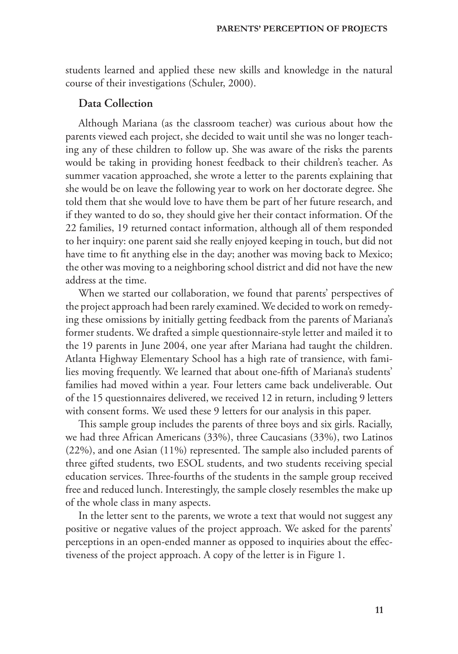students learned and applied these new skills and knowledge in the natural course of their investigations (Schuler, 2000).

## **Data Collection**

Although Mariana (as the classroom teacher) was curious about how the parents viewed each project, she decided to wait until she was no longer teaching any of these children to follow up. She was aware of the risks the parents would be taking in providing honest feedback to their children's teacher. As summer vacation approached, she wrote a letter to the parents explaining that she would be on leave the following year to work on her doctorate degree. She told them that she would love to have them be part of her future research, and if they wanted to do so, they should give her their contact information. Of the 22 families, 19 returned contact information, although all of them responded to her inquiry: one parent said she really enjoyed keeping in touch, but did not have time to fit anything else in the day; another was moving back to Mexico; the other was moving to a neighboring school district and did not have the new address at the time.

When we started our collaboration, we found that parents' perspectives of the project approach had been rarely examined. We decided to work on remedying these omissions by initially getting feedback from the parents of Mariana's former students. We drafted a simple questionnaire-style letter and mailed it to the 19 parents in June 2004, one year after Mariana had taught the children. Atlanta Highway Elementary School has a high rate of transience, with families moving frequently. We learned that about one-fifth of Mariana's students' families had moved within a year. Four letters came back undeliverable. Out of the 15 questionnaires delivered, we received 12 in return, including 9 letters with consent forms. We used these 9 letters for our analysis in this paper.

This sample group includes the parents of three boys and six girls. Racially, we had three African Americans (33%), three Caucasians (33%), two Latinos  $(22%)$ , and one Asian  $(11%)$  represented. The sample also included parents of three gifted students, two ESOL students, and two students receiving special education services. Three-fourths of the students in the sample group received free and reduced lunch. Interestingly, the sample closely resembles the make up of the whole class in many aspects.

In the letter sent to the parents, we wrote a text that would not suggest any positive or negative values of the project approach. We asked for the parents' perceptions in an open-ended manner as opposed to inquiries about the effectiveness of the project approach. A copy of the letter is in Figure 1.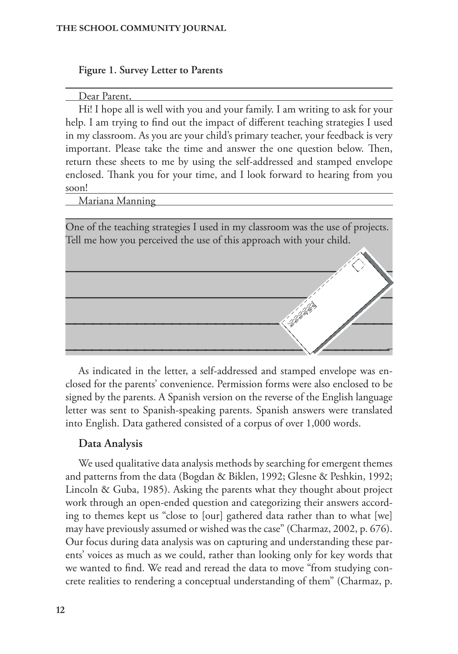#### **Figure 1. Survey Letter to Parents**

#### Dear Parent,

Hi! I hope all is well with you and your family. I am writing to ask for your help. I am trying to find out the impact of different teaching strategies I used in my classroom. As you are your child's primary teacher, your feedback is very important. Please take the time and answer the one question below. Then, return these sheets to me by using the self-addressed and stamped envelope enclosed. Thank you for your time, and I look forward to hearing from you soon!

Mariana Manning

One of the teaching strategies I used in my classroom was the use of projects. Tell me how you perceived the use of this approach with your child.



As indicated in the letter, a self-addressed and stamped envelope was enclosed for the parents' convenience. Permission forms were also enclosed to be signed by the parents. A Spanish version on the reverse of the English language letter was sent to Spanish-speaking parents. Spanish answers were translated into English. Data gathered consisted of a corpus of over 1,000 words.

## **Data Analysis**

We used qualitative data analysis methods by searching for emergent themes and patterns from the data (Bogdan & Biklen, 1992; Glesne & Peshkin, 1992; Lincoln & Guba, 1985). Asking the parents what they thought about project work through an open-ended question and categorizing their answers according to themes kept us "close to [our] gathered data rather than to what [we] may have previously assumed or wished was the case" (Charmaz, 2002, p. 676). Our focus during data analysis was on capturing and understanding these parents' voices as much as we could, rather than looking only for key words that we wanted to find. We read and reread the data to move "from studying concrete realities to rendering a conceptual understanding of them" (Charmaz, p.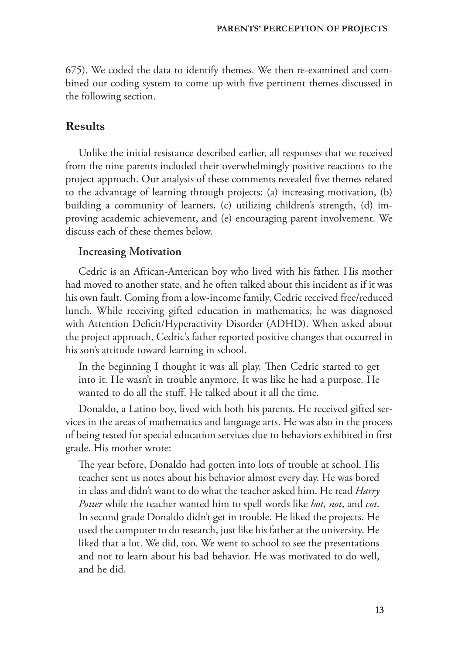675). We coded the data to identify themes. We then re-examined and combined our coding system to come up with five pertinent themes discussed in the following section.

## **Results**

Unlike the initial resistance described earlier, all responses that we received from the nine parents included their overwhelmingly positive reactions to the project approach. Our analysis of these comments revealed five themes related to the advantage of learning through projects: (a) increasing motivation, (b) building a community of learners, (c) utilizing children's strength, (d) improving academic achievement, and (e) encouraging parent involvement. We discuss each of these themes below.

#### **Increasing Motivation**

Cedric is an African-American boy who lived with his father. His mother had moved to another state, and he often talked about this incident as if it was his own fault. Coming from a low-income family, Cedric received free/reduced lunch. While receiving gifted education in mathematics, he was diagnosed with Attention Deficit/Hyperactivity Disorder (ADHD). When asked about the project approach, Cedric's father reported positive changes that occurred in his son's attitude toward learning in school.

In the beginning I thought it was all play. Then Cedric started to get into it. He wasn't in trouble anymore. It was like he had a purpose. He wanted to do all the stuff. He talked about it all the time.

Donaldo, a Latino boy, lived with both his parents. He received gifted services in the areas of mathematics and language arts. He was also in the process of being tested for special education services due to behaviors exhibited in first grade. His mother wrote:

The year before, Donaldo had gotten into lots of trouble at school. His teacher sent us notes about his behavior almost every day. He was bored in class and didn't want to do what the teacher asked him. He read *Harry Potter* while the teacher wanted him to spell words like *hot*, *not*, and *cot*. In second grade Donaldo didn't get in trouble. He liked the projects. He used the computer to do research, just like his father at the university. He liked that a lot. We did, too. We went to school to see the presentations and not to learn about his bad behavior. He was motivated to do well, and he did.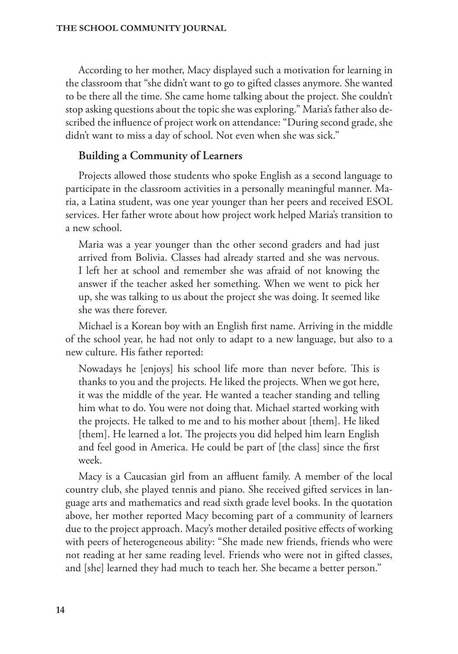According to her mother, Macy displayed such a motivation for learning in the classroom that "she didn't want to go to gifted classes anymore. She wanted to be there all the time. She came home talking about the project. She couldn't stop asking questions about the topic she was exploring." Maria's father also described the influence of project work on attendance: "During second grade, she didn't want to miss a day of school. Not even when she was sick."

# **Building a Community of Learners**

Projects allowed those students who spoke English as a second language to participate in the classroom activities in a personally meaningful manner. Maria, a Latina student, was one year younger than her peers and received ESOL services. Her father wrote about how project work helped Maria's transition to a new school.

Maria was a year younger than the other second graders and had just arrived from Bolivia. Classes had already started and she was nervous. I left her at school and remember she was afraid of not knowing the answer if the teacher asked her something. When we went to pick her up, she was talking to us about the project she was doing. It seemed like she was there forever.

Michael is a Korean boy with an English first name. Arriving in the middle of the school year, he had not only to adapt to a new language, but also to a new culture. His father reported:

Nowadays he [enjoys] his school life more than never before. This is thanks to you and the projects. He liked the projects. When we got here, it was the middle of the year. He wanted a teacher standing and telling him what to do. You were not doing that. Michael started working with the projects. He talked to me and to his mother about [them]. He liked [them]. He learned a lot. The projects you did helped him learn English and feel good in America. He could be part of [the class] since the first week.

Macy is a Caucasian girl from an affluent family. A member of the local country club, she played tennis and piano. She received gifted services in language arts and mathematics and read sixth grade level books. In the quotation above, her mother reported Macy becoming part of a community of learners due to the project approach. Macy's mother detailed positive effects of working with peers of heterogeneous ability: "She made new friends, friends who were not reading at her same reading level. Friends who were not in gifted classes, and [she] learned they had much to teach her. She became a better person."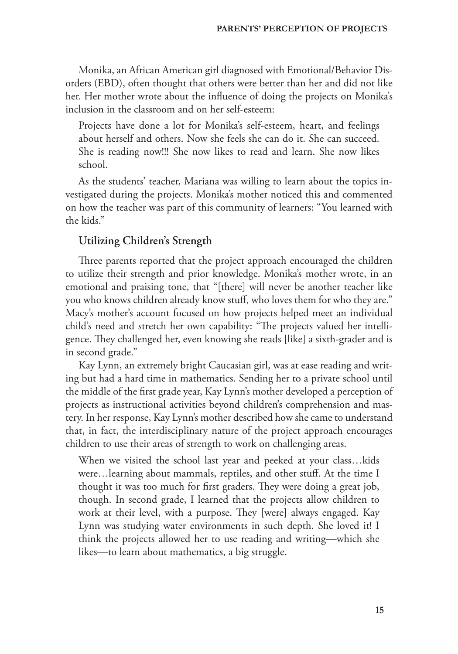Monika, an African American girl diagnosed with Emotional/Behavior Disorders (EBD), often thought that others were better than her and did not like her. Her mother wrote about the influence of doing the projects on Monika's inclusion in the classroom and on her self-esteem:

Projects have done a lot for Monika's self-esteem, heart, and feelings about herself and others. Now she feels she can do it. She can succeed. She is reading now!!! She now likes to read and learn. She now likes school.

As the students' teacher, Mariana was willing to learn about the topics investigated during the projects. Monika's mother noticed this and commented on how the teacher was part of this community of learners: "You learned with the kids."

## **Utilizing Children's Strength**

Three parents reported that the project approach encouraged the children to utilize their strength and prior knowledge. Monika's mother wrote, in an emotional and praising tone, that "[there] will never be another teacher like you who knows children already know stuff, who loves them for who they are." Macy's mother's account focused on how projects helped meet an individual child's need and stretch her own capability: "The projects valued her intelligence. They challenged her, even knowing she reads [like] a sixth-grader and is in second grade."

Kay Lynn, an extremely bright Caucasian girl, was at ease reading and writing but had a hard time in mathematics. Sending her to a private school until the middle of the first grade year, Kay Lynn's mother developed a perception of projects as instructional activities beyond children's comprehension and mastery. In her response, Kay Lynn's mother described how she came to understand that, in fact, the interdisciplinary nature of the project approach encourages children to use their areas of strength to work on challenging areas.

When we visited the school last year and peeked at your class…kids were…learning about mammals, reptiles, and other stuff. At the time I thought it was too much for first graders. They were doing a great job, though. In second grade, I learned that the projects allow children to work at their level, with a purpose. They [were] always engaged. Kay Lynn was studying water environments in such depth. She loved it! I think the projects allowed her to use reading and writing—which she likes—to learn about mathematics, a big struggle.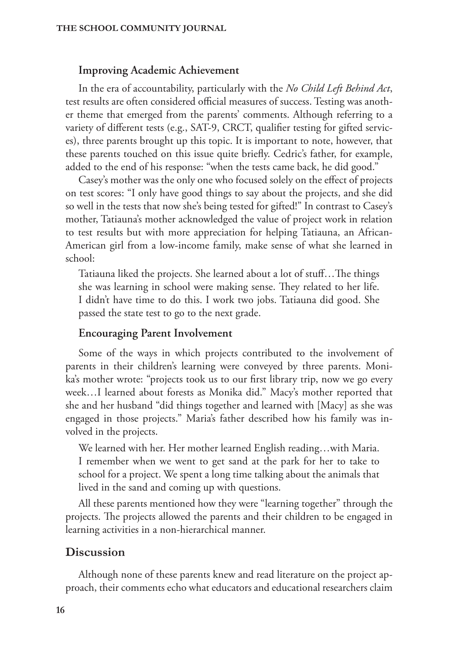#### **Improving Academic Achievement**

In the era of accountability, particularly with the *No Child Left Behind Act*, test results are often considered official measures of success. Testing was another theme that emerged from the parents' comments. Although referring to a variety of different tests (e.g., SAT-9, CRCT, qualifier testing for gifted services), three parents brought up this topic. It is important to note, however, that these parents touched on this issue quite briefly. Cedric's father, for example, added to the end of his response: "when the tests came back, he did good."

Casey's mother was the only one who focused solely on the effect of projects on test scores: "I only have good things to say about the projects, and she did so well in the tests that now she's being tested for gifted!" In contrast to Casey's mother, Tatiauna's mother acknowledged the value of project work in relation to test results but with more appreciation for helping Tatiauna, an African-American girl from a low-income family, make sense of what she learned in school:

Tatiauna liked the projects. She learned about a lot of stuff...The things she was learning in school were making sense. They related to her life. I didn't have time to do this. I work two jobs. Tatiauna did good. She passed the state test to go to the next grade.

#### **Encouraging Parent Involvement**

Some of the ways in which projects contributed to the involvement of parents in their children's learning were conveyed by three parents. Monika's mother wrote: "projects took us to our first library trip, now we go every week…I learned about forests as Monika did." Macy's mother reported that she and her husband "did things together and learned with [Macy] as she was engaged in those projects." Maria's father described how his family was involved in the projects.

We learned with her. Her mother learned English reading…with Maria. I remember when we went to get sand at the park for her to take to school for a project. We spent a long time talking about the animals that lived in the sand and coming up with questions.

All these parents mentioned how they were "learning together" through the projects. The projects allowed the parents and their children to be engaged in learning activities in a non-hierarchical manner.

## **Discussion**

Although none of these parents knew and read literature on the project approach, their comments echo what educators and educational researchers claim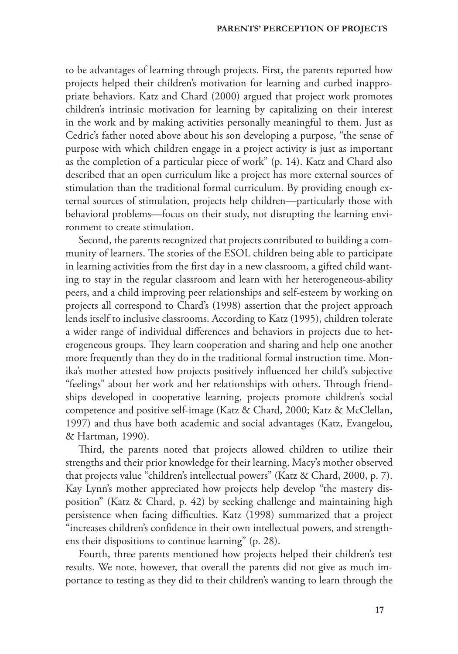to be advantages of learning through projects. First, the parents reported how projects helped their children's motivation for learning and curbed inappropriate behaviors. Katz and Chard (2000) argued that project work promotes children's intrinsic motivation for learning by capitalizing on their interest in the work and by making activities personally meaningful to them. Just as Cedric's father noted above about his son developing a purpose, "the sense of purpose with which children engage in a project activity is just as important as the completion of a particular piece of work" (p. 14). Katz and Chard also described that an open curriculum like a project has more external sources of stimulation than the traditional formal curriculum. By providing enough external sources of stimulation, projects help children—particularly those with behavioral problems—focus on their study, not disrupting the learning environment to create stimulation.

Second, the parents recognized that projects contributed to building a community of learners. The stories of the ESOL children being able to participate in learning activities from the first day in a new classroom, a gifted child wanting to stay in the regular classroom and learn with her heterogeneous-ability peers, and a child improving peer relationships and self-esteem by working on projects all correspond to Chard's (1998) assertion that the project approach lends itself to inclusive classrooms. According to Katz (1995), children tolerate a wider range of individual differences and behaviors in projects due to heterogeneous groups. They learn cooperation and sharing and help one another more frequently than they do in the traditional formal instruction time. Monika's mother attested how projects positively influenced her child's subjective "feelings" about her work and her relationships with others. Through friendships developed in cooperative learning, projects promote children's social competence and positive self-image (Katz & Chard, 2000; Katz & McClellan, 1997) and thus have both academic and social advantages (Katz, Evangelou, & Hartman, 1990).

Third, the parents noted that projects allowed children to utilize their strengths and their prior knowledge for their learning. Macy's mother observed that projects value "children's intellectual powers" (Katz & Chard, 2000, p. 7). Kay Lynn's mother appreciated how projects help develop "the mastery disposition" (Katz & Chard, p. 42) by seeking challenge and maintaining high persistence when facing difficulties. Katz (1998) summarized that a project "increases children's confidence in their own intellectual powers, and strengthens their dispositions to continue learning" (p. 28).

Fourth, three parents mentioned how projects helped their children's test results. We note, however, that overall the parents did not give as much importance to testing as they did to their children's wanting to learn through the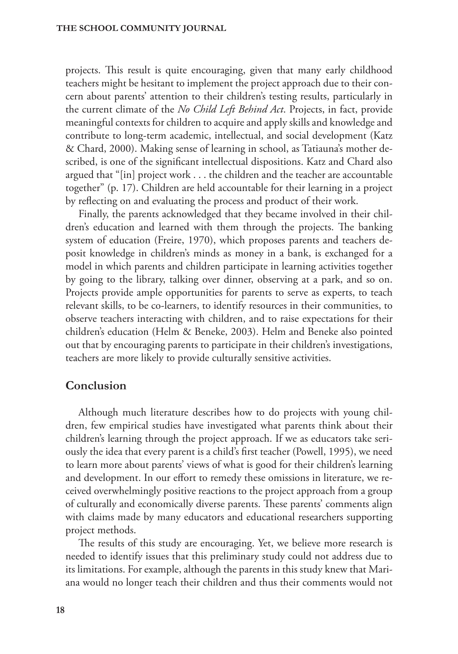projects. This result is quite encouraging, given that many early childhood teachers might be hesitant to implement the project approach due to their concern about parents' attention to their children's testing results, particularly in the current climate of the *No Child Left Behind Act*. Projects, in fact, provide meaningful contexts for children to acquire and apply skills and knowledge and contribute to long-term academic, intellectual, and social development (Katz & Chard, 2000). Making sense of learning in school, as Tatiauna's mother described, is one of the significant intellectual dispositions. Katz and Chard also argued that "[in] project work . . . the children and the teacher are accountable together" (p. 17). Children are held accountable for their learning in a project by reflecting on and evaluating the process and product of their work.

Finally, the parents acknowledged that they became involved in their children's education and learned with them through the projects. The banking system of education (Freire, 1970), which proposes parents and teachers deposit knowledge in children's minds as money in a bank, is exchanged for a model in which parents and children participate in learning activities together by going to the library, talking over dinner, observing at a park, and so on. Projects provide ample opportunities for parents to serve as experts, to teach relevant skills, to be co-learners, to identify resources in their communities, to observe teachers interacting with children, and to raise expectations for their children's education (Helm & Beneke, 2003). Helm and Beneke also pointed out that by encouraging parents to participate in their children's investigations, teachers are more likely to provide culturally sensitive activities.

## **Conclusion**

Although much literature describes how to do projects with young children, few empirical studies have investigated what parents think about their children's learning through the project approach. If we as educators take seriously the idea that every parent is a child's first teacher (Powell, 1995), we need to learn more about parents' views of what is good for their children's learning and development. In our effort to remedy these omissions in literature, we received overwhelmingly positive reactions to the project approach from a group of culturally and economically diverse parents. These parents' comments align with claims made by many educators and educational researchers supporting project methods.

The results of this study are encouraging. Yet, we believe more research is needed to identify issues that this preliminary study could not address due to its limitations. For example, although the parents in this study knew that Mariana would no longer teach their children and thus their comments would not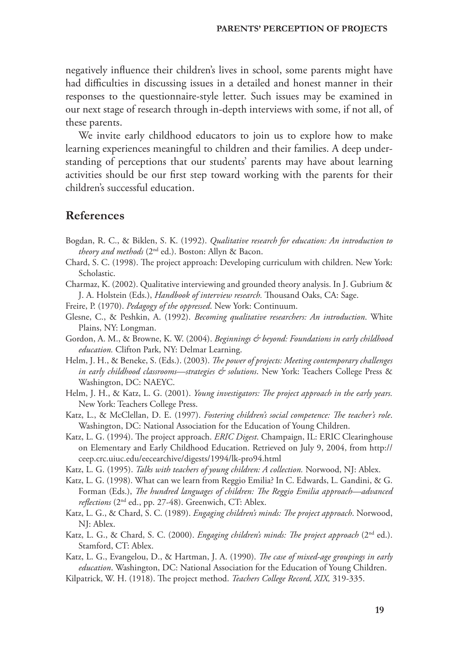negatively influence their children's lives in school, some parents might have had difficulties in discussing issues in a detailed and honest manner in their responses to the questionnaire-style letter. Such issues may be examined in our next stage of research through in-depth interviews with some, if not all, of these parents.

We invite early childhood educators to join us to explore how to make learning experiences meaningful to children and their families. A deep understanding of perceptions that our students' parents may have about learning activities should be our first step toward working with the parents for their children's successful education.

#### **References**

- Bogdan, R. C., & Biklen, S. K. (1992). *Qualitative research for education: An introduction to theory and methods* (2nd ed.). Boston: Allyn & Bacon.
- Chard, S. C. (1998). The project approach: Developing curriculum with children. New York: Scholastic.
- Charmaz, K. (2002). Qualitative interviewing and grounded theory analysis. In J. Gubrium & J. A. Holstein (Eds.), *Handbook of interview research*. Thousand Oaks, CA: Sage.
- Freire, P. (1970). *Pedagogy of the oppressed*. New York: Continuum.
- Glesne, C., & Peshkin, A. (1992). *Becoming qualitative researchers: An introduction*. White Plains, NY: Longman.
- Gordon, A. M., & Browne, K. W. (2004). *Beginnings & beyond: Foundations in early childhood education.* Clifton Park, NY: Delmar Learning.
- Helm, J. H., & Beneke, S. (Eds.). (2003). *The power of projects: Meeting contemporary challenges in early childhood classrooms—strategies & solutions*. New York: Teachers College Press & Washington, DC: NAEYC.
- Helm, J. H., & Katz, L. G. (2001). *Young investigators: The project approach in the early years.* New York: Teachers College Press.
- Katz, L., & McClellan, D. E. (1997). *Fostering children's social competence: The teacher's role*. Washington, DC: National Association for the Education of Young Children.
- Katz, L. G. (1994). The project approach. *ERIC Digest*. Champaign, IL: ERIC Clearinghouse on Elementary and Early Childhood Education. Retrieved on July 9, 2004, from http:// ceep.crc.uiuc.edu/eecearchive/digests/1994/lk-pro94.html
- Katz, L. G. (1995). *Talks with teachers of young children: A collection.* Norwood, NJ: Ablex.
- Katz, L. G. (1998). What can we learn from Reggio Emilia? In C. Edwards, L. Gandini, & G. Forman (Eds.), *The hundred languages of children: The Reggio Emilia approach—advanced reflections* (2nd ed., pp. 27-48). Greenwich, CT: Ablex.
- Katz, L. G., & Chard, S. C. (1989). *Engaging children's minds: The project approach*. Norwood, NJ: Ablex.
- Katz, L. G., & Chard, S. C. (2000). *Engaging children's minds: The project approach* (2<sup>nd</sup> ed.). Stamford, CT: Ablex.
- Katz, L. G., Evangelou, D., & Hartman, J. A. (1990). *The case of mixed-age groupings in early education*. Washington, DC: National Association for the Education of Young Children.
- Kilpatrick, W. H. (1918). The project method. *Teachers College Record, XIX*, 319-335.